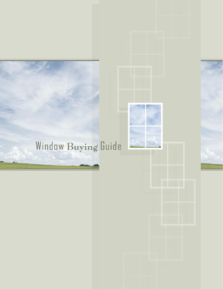# Window Buying Guide

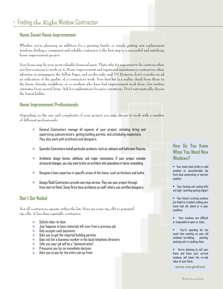# **Home Sweet Home Improvement**

Whether you're planning an addition for a growing family or simply getting new replacement windows, finding a competent and reliable contractor is the first step to a successful and satisfying home improvement project.

Your home may be your most valuable financial asset. That's why it's important to be cautious when you hire someone to work on it. Home improvement and repair and maintenance contractors often advertise in newspapers, the Yellow Pages, and on the radio and TV. However, don't consider an ad an indication of the quality of a contractor's work. Your best bet is a reality check from those in the know: friends, neighbors, or co-workers who have had improvement work done. Get written estimates from several firms. Ask for explanations for price variations. Don't automatically choose the lowest bidder.

# **Home Improvement Professionals**

Depending on the size and complexity of your project, you may choose to work with a number of different professionals:

- General Contractors manage all aspects of your project, including hiring and supervising subcontractors, getting building permits, and scheduling inspections. They also work with architects and designers.
- Specialty Contractors install particular products, such as cabinets and bathroom fixtures.
- Architects design homes, additions, and major renovations. If your project includes structural changes, you may want to hire an architect who specializes in home remodeling.
- $\blacksquare$  Designers have expertise in specific areas of the home, such as kitchens and baths.
- **Design/Build Contractors provide one-stop service. They see your project through** from start to finish. Some firms have architects on staff; others use certified designers.

# **Don't Get Nailed**

Not all contractors operate within the law. Here are some tip-offs to potential rip-offs. A less than reputable contractor:

- Solicits door-to-door
- $\blacksquare$  Just happens to have materials left over from a previous job
- **D**nly accepts cash payments
- Asks you to get the required building permits
- **Does not list a business number in the local telephone directory**
- $\blacksquare$  Tells you your job will be a "demonstration"
- **Pressures you for an immediate decision**
- Asks you to pay for the entire job up-front

# **How Do You Know When You Need New Windows?**

- Your home feels drafty in cold weather or uncomfortably hot from heat penetrating in warmer weather.
- Your heating and cooling bills are high—and keep getting higher!
- Your home's existing windows are faded or cracked, making your home look old, dated or in poor condition.
- Your windows are difficult or impossible to open or close.
- You're spending far too much time working on your old windows—scrubbing, painting, puttying and re-caulking them.
- You're planning to sell your home and know your current windows will lower the re-sale value of your home.

**source: www.gorell.com**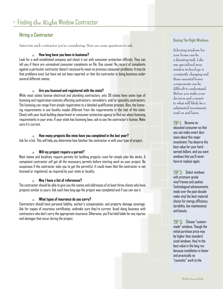# **Hiring a Contractor**

Interview each contractor you're considering. Here are some questions to ask.

#### **How long have you been in business?**

Look for a well-established company and check it out with consumer protection officials. They can tell you if there are unresolved consumer complaints on file. One caveat: No record of complaints against a particular contractor doesn't necessarily mean no previous consumer problems. It may be that problems exist, but have not yet been reported, or that the contractor is doing business under several different names.

#### **Are you licensed and registered with the state?**

While most states license electrical and plumbing contractors, only 36 states have some type of licensing and registration statutes affecting contractors, remodelers, and/or specialty contractors. The licensing can range from simple registration to a detailed qualification process. Also, the licensing requirements in one locality maybe different from the requirements in the rest of the state. Check with your local building department or consumer protection agency to find out about licensing requirements in your area. If your state has licensing laws, ask to see the contractor's license. Make sure it's current.

#### **How many projects like mine have you completed in the last year?**

Ask for a list. This will help you determine how familiar the contractor is with your type of project.

#### **Will my project require a permit?**

Most states and localities require permits for building projects, even for simple jobs like decks. A competent contractor will get all the necessary permits before starting work on your project. Be suspicious if the contractor asks you to get the permit(s). It could mean that the contractor is not licensed or registered, as required by your state or locality.

#### **May I have a list of references?**

The contractor should be able to give you the names and addresses of at least three clients who have projects similar to yours. Ask each how long ago the project was completed and if you can see it.

#### **What types of insurance do you carry?**

Contractors should have personal liability, worker's compensation, and property damage coverage. Ask for copies of insurance certificates, andmake sure they're current. Avoid doing business with contractors who don't carry the appropriate insurance. Otherwise, you'll be held liable for any injuries and damages that occur during the project.

#### **Buying The Right Windows**

Selecting windows for your home can be a daunting task. Like any specialized area, window technology is constantly changing and these essential home components can be difficult to understand. Before you make your decision and commit to what will likely be a substantial investment, read on and learn.

# **TIP 1:** Become an

educated consumer so that you can make smart decisions about this major investment. You deserve the best value for your hardearned dollars, and you want windows that you'll never have to replace again.

**TIP 2:** Select windows with premium-grade vinyl frames and sashes. Technological advancements made over the past decade make vinyl the best material choice for energy efficiency, durability, low maintenance and beauty.

**TIP 3:** Choose "custommade" windows. Though the initial purchase price may be higher than standard sized windows, they're the best value in the long run because installation is faster and practically no "cosmetic" work to the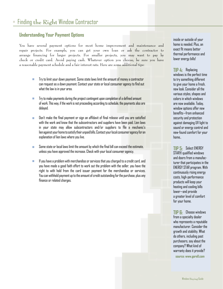# **Understanding Your Payment Options**

You have several payment options for most home improvement and maintenance and repair projects. For example, you can get your own loan or ask the contractor to arrange financing for larger projects. For smaller projects, you may want to pay by check or credit card. Avoid paying cash. Whatever option you choose, be sure you have a reasonable payment schedule and a fair interest rate. Here are some additional tips:

- Try to limit your down payment. Some state laws limit the amount of money a contractor can request as a down payment. Contact your state or local consumer agency to find out what the law is in your area.
- Try to make payments during the project contingent upon completion of a defined amount of work. This way, if the work is not proceeding according to schedule, the payments also are delayed.
- Don't make the final payment or sign an affidavit of final release until you are satisfied with the work and know that the subcontractors and suppliers have been paid. Lien laws in your state may allow subcontractors and/or suppliers to file a mechanic's lien against your home to satisfy their unpaid bills. Contact your local consumer agency for an explanation of lien laws where you live.
- Some state or local laws limit the amount by which the final bill can exceed the estimate, unless you have approved the increase. Check with your local consumer agency.
- If you have a problem with merchandise or services that you charged to a credit card, and you have made a good faith effort to work out the problem with the seller, you have the right to with hold from the card issuer payment for the merchandise or services. You can withhold payment up to the amount of credit outstanding for the purchase, plus any finance or related charges.

inside or outside of your home is needed. Plus, an exact fit means better thermal performance and lower energy bills!

**TIP 4:** Replacing windows is the perfect time to try something different to give your home a fresh, new look. Consider all the various styles, shapes and colors in which windows are now available. Today, window options offer new benefits—from enhanced security and protection against damaging UV light to sound or energy control and new-found comfort for your home..

**TIP 5:** Select ENERGY STAR® qualified windows and doors from a manufacturer that participates in the ENERGY STAR program. With continuously rising energy costs, high-performance products will keep your heating and cooling bills lower—and provide a greater level of comfort for your home.

**TIP 6:** Choose windows from a specialty dealer who represents a reputable manufacturer. Consider the growth and stability. What do others, including past purchasers, say about the company? What kind of warranty does it provide? **source: www.gorell.com**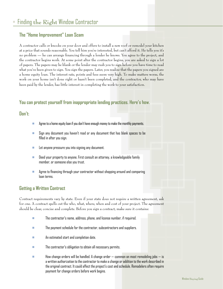# Finding **the Right** Window Contractor

# **The "Home Improvement" Loan Scam**

A contractor calls or knocks on your door and offers to install a new roof or remodel your kitchen at a price that sounds reasonable. You tell him you're interested, but can't afford it. He tells you it's no problem — he can arrange financing through a lender he knows. You agree to the project, and the contractor begins work. At some point after the contractor begins, you are asked to sign a lot of papers. The papers may be blank or the lender may rush you to sign before you have time to read what you've been given to sign. You sign the papers. Later, you realize that the papers you signed are a home equity loan. The interest rate, points and fees seem very high. To make matters worse, the work on your home isn't done right or hasn't been completed, and the contractor, who may have been paid by the lender, has little interest in completing the work to your satisfaction.

# **You can protect yourself from inappropriate lending practices. Here's how.**

#### **Don't:**

- Agree to a home equity loan if you don't have enough money to make the monthly payments.
- Sign any document you haven't read or any document that has blank spaces to be filled in after you sign.
- **Let anyone pressure you into signing any document.**
- Deed your property to anyone. First consult an attorney, a knowledgeable family member, or someone else you trust.
- Agree to financing through your contractor without shopping around and comparing loan terms.

# **Getting a Written Contract**

Contract requirements vary by state. Even if your state does not require a written agreement, ask for one. A contract spells out the who, what, where, when and cost of your project. The agreement should be clear, concise and complete. Before you sign a contract, make sure it contains:

- The contractor's name, address, phone, and license number, if required.
- $\blacksquare$  The payment schedule for the contractor, subcontractors and suppliers.
- An estimated start and completion date.
- $\blacksquare$  The contractor's obligation to obtain all necessary permits.
- $\blacksquare$  How change orders will be handled. A change order  $-$  common on most remodeling jobs  $-$  is a written authorization to the contractor to make a change or addition to the work described in the original contract. It could affect the project's cost and schedule. Remodelers often require payment for change orders before work begins.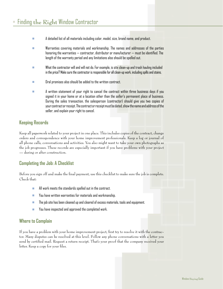- A detailed list of all materials including color, model, size, brand name, and product.
- $\blacksquare$  . Warranties covering materials and workmanship. The names and addresses of the parties honoring the warranties — contractor, distributor or manufacturer — must be identified. The length of the warranty period and any limitations also should be spelled out.
- What the contractor will and will not do. For example, is site clean-up and trash hauling included in the price? Make sure the contractor is responsible for all clean-up work, including spills and stains.
- $\square$  Dral promises also should be added to the written contract.
- A written statement of your right to cancel the contract within three business days if you signed it in your home or at a location other than the seller's permanent place of business. During the sales transaction, the salesperson (contractor) should give you two copies of your contract or receipt. The contract or receipt must be dated, show the name and address of the seller, and explain your right to cancel.

# **Keeping Records**

Keep all paperwork related to your project in one place. This includes copies of the contract, change orders and correspondence with your home improvement professionals. Keep a log or journal of all phone calls, conversations and activities. You also might want to take your own photographs as the job progresses. These records are especially important if you have problems with your project — during or after construction.

# **Completing the Job: A Checklist**

Before you sign off and make the final payment, use this checklist to make sure the job is complete. Check that:

- $\blacksquare$  All work meets the standards spelled out in the contract.
- You have written warranties for materials and workmanship.
- $\blacksquare$  The job site has been cleaned up and cleared of excess materials, tools and equipment.
- You have inspected and approved the completed work.

# **Where to Complain**

If you have a problem with your home improvement project, first try to resolve it with the contractor. Many disputes can be resolved at this level. Follow any phone conversations with a letter you send by certified mail. Request a return receipt. That's your proof that the company received your letter. Keep a copy for your files.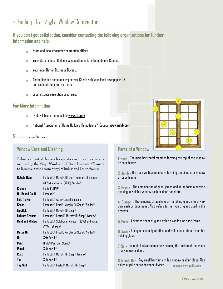# Finding **the Right** Window Contractor

# **If you can't get satisfaction, consider contacting the following organizations for further information and help:**

- State and local consumer protection offices.
- Your state or local Builders Association and/or Remodelors Council.
- Your local Better Business Bureau.
- Action line and consumer reporters. Check with your local newspaper, TV, and radio stations for contacts.
- Local dispute resolution programs.

#### **For More Information**

- Federal Trade Commission: **www.ftc.gov**
- National Association of Home Builders Remodelors™ Council: **www.nahb.com**

#### **Source:** www.ftc.gov

# **Window Care and Cleaning**

Below is a chart of cleaners for specific circumstances recommended by the Vinyl Window and Door Institute. Cleaners to Remove Stains from Vinyl Window and Door Frames

| <b>Bubble Gum</b>      | Fantastik®, Murphy Oil Soa®, Solution of vinegar |
|------------------------|--------------------------------------------------|
|                        | (30%) and water (70%), Windex®                   |
| Crayon                 | Lestoil <sup>®</sup> , DAP <sup>®</sup>          |
| <b>Dil-Based Caulk</b> | <b>Fantastik</b> <sup>®</sup>                    |
| <b>Felt Tip Pen</b>    | Fantastik®, water-based cleaners                 |
| Grass                  | Fantastik®, Lysol®, Murphy Dil Soap®, Windex®    |
| Lipstick               | Fantastik®, Murphy Dil Soap®                     |
| Lithium Grease         | Fantastik®, Lestoil®, Murphy Oil Soap®, Windex®  |
| <b>Mold and Mildew</b> | Fantastik®, Solution of vinegar (30%) and water  |
|                        | $(70%)$ , Windex <sup>®</sup>                    |
| Motor Oil              | Fantastik®, Lysol®, Murphy Dil Soap®, Windex®    |
| 0il                    | $S$ nft $S$ cruh®                                |
| Paint                  | Brillo® Pad, Soft Scrub®                         |
| Pencil                 | $S$ nft $S$ cruh®                                |
| Rust                   | Fantastik®, Murphy Oil Soap®, Windex®            |
| Tar                    | $S$ nft $S$ cruh®                                |
| <b>Top Soil</b>        | Fantastik®, Lestoil®, Murphy Oil Soap®           |
|                        |                                                  |

# 2 1 3 4 5 6 7 8

# **Parts of a Window**

**1. Head -** The main horizontal member forming the top of the window or door frame.

**2. Jamb -** The main vertical members forming the sides of a window or door frame.

**3. Frame -** The combination of head, jambs and sill to form a precise opening in which a window sash or door panel fits.

**4. Glazing -** The process of applying or installing glass into a window sash or door panel. Also refers to the type of glass used in the process.

**5. Pane -** A framed sheet of glass within a window or door frame.

**6. Sash -** A single assembly of stiles and rails made into a frame for holding glass.

**7. Sill -** The main horizontal member forming the bottom of the frame of a window or door.

**8. Muntin Bar -** Any small bar that divides window or door glass. Also called a grille or windowpane divider. **source: www.pella.com**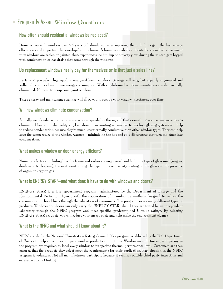# Frequently Asked **Window Questions**

# **How often should residential windows be replaced?**

Homeowners with windows over 25 years old should consider replacing them, both to gain the best energy efficiencies and to protect the "envelope" of the house. A home is an ideal candidate for a window replacement if its windows are sealed or painted shut, experiences ice buildup or a frosty glaze during the winter, gets fogged with condensation or has drafts that come through the windows.

# **Do replacement windows really pay for themselves or is that just a sales line?**

It's true, if you select high-quality, energy-efficient windows. Savings will vary, but expertly engineered and well-built windows lower home energy consumption. With vinyl-framed windows, maintenance is also virtually eliminated. No need to scrape and paint windows.

These energy and maintenance savings will allow you to recoup your window investment over time.

# **Will new windows eliminate condensation?**

Actually, no. Condensation is moisture vapor suspended in the air, and that's something no one can guarantee to eliminate. However, high-quality vinyl windows incorporating warm-edge technology glazing systems will help to reduce condensation because they're much less thermally conductive than other window types. They can help keep the temperature of the window warmer—minimizing the hot and cold differences that turn moisture into condensation.

# **What makes a window or door energy efficient?**

Numerous factors, including how the frame and sashes are engineered and built, the type of glass used (single-, double- or triple-pane), the weather-stripping, the type of low-emissivity coating on the glass and the presence of argon or krypton gas.

# **What is ENERGY STAR**® **—and what does it have to do with windows and doors?**

ENERGY STAR is a U.S. government program—administered by the Department of Energy and the Environmental Protection Agency with the cooperation of manufacturers—that's designed to reduce the consumption of fossil fuels through the education of consumers. The program covers many different types of products. Windows and doors can only carry the ENERGY STAR label if they are tested by an independent laboratory through the NFRC program and meet specific, predetermined U-value ratings. By selecting ENERGY STAR products, you will reduce your energy costs and help make the environment cleaner.

# **What is the NFRC and what should I know about it?**

NFRC stands for the National Fenestration Rating Council. It's a program established by the U.S. Department of Energy to help consumers compare window products and options. Window manufacturers participating in the program are required to label every window to its specific thermal performance level. Customers are then ensured that the products they select meet the requirements for their application. Participation in the NFRC program is voluntary. Not all manufacturers participate because it requires outside third party inspection and extensive product testing.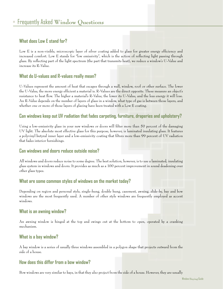# **What does Low E stand for?**

Low E is a non-visible, microscopic layer of silver coating added to glass for greater energy efficiency and increased comfort. Low E stands for "low emissivity", which is the action of reflecting light passing through glass. By reflecting part of the light spectrum (the part that transmits heat), we reduce a window's U-Value and increase its R-Value.

# **What do U-values and R-values really mean?**

U-Values represent the amount of heat that escapes through a wall, window, roof or other surface. The lower the U-Value, the more energy efficient a material is. R-Values are the direct opposite. These measure an object's resistance to heat flow. The higher a material's R-Value, the lower its U-Value, and the less energy it will lose. An R-Value depends on the number of layers of glass in a window, what type of gas is between those layers, and whether one or more of those layers of glazing have been treated with a Low E coating.

# **Can windows keep out UV radiation that fades carpeting, furniture, draperies and upholstery?**

Using a low-emissivity glass in your new windows or doors will filter more than 50 percent of the damaging UV light. The absolute most effective glass for this purpose, however, is laminated insulating glass. It features a polyvinyl butyral inner layer and a low-emissivity coating that filters more than 99 percent of UV radiation that fades interior furnishings.

# **Can windows and doors reduce outside noise?**

All windows and doors reduce noise to some degree. The best solution, however, is to use a laminated, insulating glass system in windows and doors. It provides as much as a 100 percent improvement in sound deadening over other glass types.

#### **What are some common styles of windows on the market today?**

Depending on region and personal style, single-hung, double hung, casement, awning, slide-by, bay and bow windows are the most frequently used. A number of other style windows are frequently employed as accent windows.

#### **What is an awning window?**

An awning window is hinged at the top and swings out at the bottom to open, operated by a cranking mechanism.

#### **What is a bay window?**

A bay window is a series of usually three windows assembled in a polygon shape that projects outward from the side of a house.

# **How does this differ from a bow window?**

Bow windows are very similar to bays, in that they also project from the side of a house. However, they are usually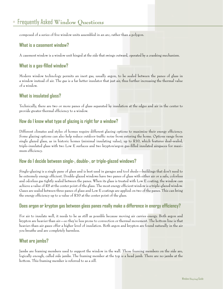# Frequently Asked **Window Questions**

composed of a series of five window units assembled in an arc, rather than a polygon.

#### **What is a casement window?**

A casement window is a window unit hinged at the side that swings outward, operated by a cranking mechanism.

# **What is a gas-filled window?**

Modern window technology permits an inert gas, usually argon, to be sealed between the panes of glass in a window instead of air. The gas is a far better insulator that just air, thus further increasing the thermal value of a window.

#### **What is insulated glass?**

Technically, there are two or more panes of glass separated by insulation at the edges and air in the center to provide greater thermal efficiency to a window.

#### **How do I know what type of glazing is right for a window?**

Different climates and styles of homes require different glazing options to maximize their energy efficiency. Some glazing options can also help reduce outdoor traffic noise from entering the home. Options range from single glazed glass, as in historic homes (minimal insulating value), up to R10, which features dual-sealed, triple-insulated glass with two Low E surfaces and two krypton/argon gas-filled insulated airspaces for maximum efficiency.

#### **How do I decide between single-, double-, or triple-glazed windows?**

Single-glazing is a single pane of glass and is best used in garages and tool sheds—buildings that don't need to be extremely energy efficient. Double-glazed windows have two panes of glass with either air or a safe, colorless and odorless gas tightly sealed between the panes. When its glass is treated with Low E coating, the window can achieve a value of R5 at the center point of the glass. The most energy efficient window is a triple-glazed window. Gases are sealed between three panes of glass and Low E coatings are applied on two of the panes. This can bring the energy efficiency up to a value of R10 at the center point of the glass.

# **Does argon or krypton gas between glass panes really make a difference in energy efficiency?**

For air to insulate well, it needs to be as still as possible because moving air carries energy. Both argon and krypton are heavier than air—so they're less prone to convection or thermal movement. The bottom line is that heavier-than-air gases offer a higher level of insulation. Both argon and krypton are found naturally in the air you breathe and are completely harmless.

#### **What are jambs?**

Jambs are framing members used to support the window in the wall. Those framing members on the side are, logically enough, called side jambs. The framing member at the top is a head jamb. There are no jambs at the bottom. This framing member is referred to as a sill.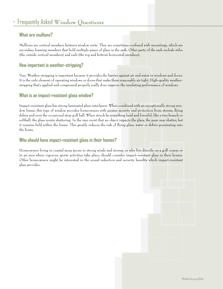# **What are mullions?**

Mullions are vertical members between window units. They are sometimes confused with mountings, which are secondary framing members that hold multiple panes of glass in the sash. Other parts of the sash include stiles (the outside vertical members) and rails (the top and bottom horizontal members).

# **How important is weather-stripping?**

Very. Weather-stripping is important because it provides the barrier against air and water in windows and doors. It is the only element of operating windows or doors that make them reasonably air tight. High-quality weatherstripping that's applied and compressed properly really does improve the insulating performance of windows.

#### **What is an impact-resistant glass window?**

Impact-resistant glass has strong laminated glass interlayers. When combined with an exceptionally strong window frame, this type of window provides homeowners with greater security and protection from storms, flying debris and even the occasional stray golf ball. When struck by something hard and forceful, like a tree branch or softball, the glass resists shattering. In the rare event that an object impacts the glass, the pane may shatter, but it remains held within the frame. This greatly reduces the risk of flying glass, water or debris penetrating into the home.

#### **Who should have impact-resistant glass in their homes?**

Homeowners living in coastal areas prone to strong winds and storms, or who live directly on a golf course or in an area where vigorous sports activities take place, should consider impact-resistant glass in their homes. Other homeowners might be interested in the sound reduction and security benefits which impact-resistant glass provides.

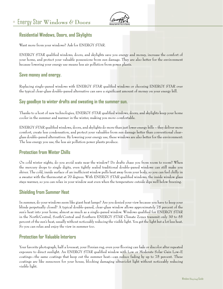# Energy Star **Windows & Doors**



# **Residential Windows, Doors, and Skylights**

Want more from your windows? Ask for ENERGY STAR.

ENERGY STAR qualified windows, doors, and skylights save you energy and money, increase the comfort of your home, and protect your valuable possessions from sun damage. They are also better for the environment because lowering your energy use means less air pollution from power plants.

#### **Save money and energy.**

Replacing single-paned windows with ENERGY STAR qualified windows or choosing ENERGY STAR over the typical clear-glass double-paned alternative can save a significant amount of money on your energy bill.

#### **Say goodbye to winter drafts and sweating in the summer sun.**

Thanks to a host of new technologies, ENERGY STAR qualified windows, doors, and skylights keep your home cooler in the summer and warmer in the winter, making you more comfortable.

ENERGY STAR qualified windows, doors, and skylights do more than just lower energy bills – they deliver more comfort, create less condensation, and protect your valuables from sun damage better than conventional clearglass double-paned alternatives. By lowering your energy use, these windows are also better for the environment: The less energy you use, the less air pollution power plants produce.

# **Protection from Winter Chills**

On cold winter nights, do you avoid seats near the window? Do drafts chase you from room to room? When the mercury drops to single digits, even tightly sealed traditional double-paned windows can still make you shiver. The cold, inside surface of an inefficient window pulls heat away from your body, so you can feel chilly in a sweater with the thermostat at 70 degrees. With ENERGY STAR qualified windows, the inside window glass stays warmer, so you can relax in your window seat even when the temperature outside dips well below freezing.

# **Shielding from Summer Heat**

In summer, do your windows seem like giant heat lamps? Are you denied your view because you have to keep your blinds perpetually closed? A typical double-paned, clear-glass window allows approximately 75 percent of the sun's heat into your home, almost as much as a single-paned window. Windows qualified for ENERGY STAR in the North/Central, South/Central and Southern ENERGY STAR Climate Zones transmit only 30 to 55 percent of the sun's heat, usually without noticeably reducing the visible light. You get the light but a lot less heat. So you can relax and enjoy the view in summer too.

# **Protection for Valuable Interiors**

Your favorite photograph, half a loveseat, your Persian rug, even your flooring can fade or discolor after repeated exposure to direct sunlight. An ENERGY STAR qualified window with Low or Moderate Solar Gain Low-E coatings--the same coatings that keep out the summer heat--can reduce fading by up to 75 percent. These coatings are like sunscreen for your house, blocking damaging ultraviolet light without noticeably reducing visible light.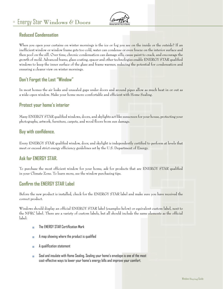

# **Reduced Condensation**

When you open your curtains on winter mornings is the ice or fog you see on the inside or the outside? If an inefficient window or window frame gets too cold, water can condense or even freeze on the interior surface and then pool on the sill. Over time, chronic condensation can damage sills, cause paint to crack, and encourage the growth of mold. Advanced frame, glass coating, spacer and other technologies enable ENERGY STAR qualified windows to keep the inner surface of the glass and frame warmer, reducing the potential for condensation and ensuring a clearer view on winter mornings.

# **Don't Forget the Last "Window"**

In most homes the air leaks and unsealed gaps under doors and around pipes allow as much heat in or out as a wide-open window. Make your home more comfortable and efficient with Home Sealing.

# **Protect your home's interior**

Many ENERGY STAR qualified windows, doors, and skylights act like sunscreen for your house, protecting your photographs, artwork, furniture, carpets, and wood floors from sun damage.

# **Buy with confidence.**

Every ENERGY STAR qualified window, door, and skylight is independently certified to perform at levels that meet or exceed strict energy efficiency guidelines set by the U.S. Department of Energy.

# **Ask for ENERGY STAR.**

To purchase the most efficient window for your home, ask for products that are ENERGY STAR qualified in your Climate Zone. To learn more, see the window purchasing tips.

# **Confirm the ENERGY STAR Label**

Before the new product is installed, check for the ENERGY STAR label and make sure you have received the correct product.

Windows should display an official ENERGY STAR label (examples below) or equivalent custom label, next to the NFRC label. There are a variety of custom labels, but all should include the same elements as the official label:

- **The ENERGY STAR Certification Mark**
- A map showing where the product is qualified
- A qualification statement
- Seal and insulate with Home Sealing. Sealing your home's envelope is one of the most cost-effective ways to lower your home's energy bills and improve your comfort.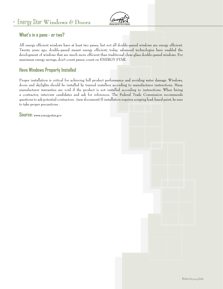

# **What's in a pane - or two?**

All energy efficient windows have at least two panes, but not all double-paned windows are energy efficient. Twenty years ago, double-paned meant energy efficient; today, advanced technologies have enabled the development of windows that are much more efficient than traditional clear-glass double-paned windows. For maximum energy savings, don't count panes; count on ENERGY STAR.

# **Have Windows Properly Installed**

Proper installation is critical for achieving full product performance and avoiding water damage. Windows, doors and skylights should be installed by trained installers according to manufacturer instructions. Many manufacturer warranties are void if the product is not installed according to instructions. When hiring a contractor, interview candidates and ask for references. The Federal Trade Commission recommends questions to ask potential contractors . (new document) If installation requires scraping lead-based paint, be sure to take proper precautions .

**Source:** www.energystar.gov

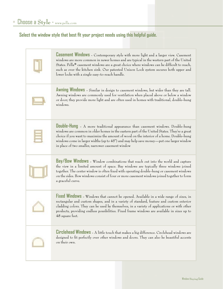# **Select the window style that best fit your project needs using this helpful guide.**

| <b>Casement Windows</b> - Contemporary style with more light and a larger view. Casement<br>windows are more common in newer homes and are typical in the western part of the United<br>States. Pella <sup>®</sup> casement windows are a great choice where windows can be difficult to reach,<br>such as over the kitchen sink. Our patented Unison Lock system secures both upper and<br>lower locks with a single easy-to-reach handle. |
|---------------------------------------------------------------------------------------------------------------------------------------------------------------------------------------------------------------------------------------------------------------------------------------------------------------------------------------------------------------------------------------------------------------------------------------------|
| Awning Windows - Similar in design to casement windows, but wider than they are tall.<br>Awning windows are commonly used for ventilation when placed above or below a window<br>or door; they provide more light and are often used in homes with traditional, double-hung<br>windows.                                                                                                                                                     |
| <b>Double-Hung</b> - A more traditional appearance than casement windows. Double-hung<br>windows are common in older homes in the eastern part of the United States. They're a great<br>choice if you want to maximize the amount of wood on the interior of a home. Double-hung<br>windows come in larger widths (up to 45") and may help save money—put one larger window<br>in place of two smaller, narrower casement window            |
| Bay/Bow Windows - Window combinations that reach out into the world and capture<br>the view in a limited amount of space. Bay windows are typically three windows joined<br>together. The center window is often fixed with operating double-hung or casement windows<br>on the sides. Bow windows consist of four or more casement windows joined together to form<br>a graceful curve.                                                    |
| Fixed Windows - Windows that cannot be opened. Available in a wide range of sizes, in<br>rectangular and custom shapes, and in a variety of standard, feature and custom exterior<br>cladding colors. They can be used by themselves, in a variety of applications or with other<br>products, providing endless possibilities. Fixed frame windows are available in sizes up to<br>48 square feet.                                          |
| <b>Circlehead Windows</b> - A little touch that makes a big difference. Circlehead windows are<br>designed to fit perfectly over other windows and doors. They can also be beautiful accents<br>on their own.                                                                                                                                                                                                                               |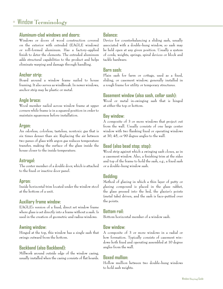#### **Aluminum-clad windows and doors:**

Windows or doors of wood construction covered on the exterior with extruded (EAGLE windows) or roll-formed aluminum. Has a factory-applied finish to deter the elements. The extruded aluminum adds structural capabilities to the product and helps eliminate warping and damage through handling.

#### **Anchor strip:**

Board around a window frame nailed to house framing. It also serves as windbreak. In newer windows, anchor strip may be plastic or metal.

# **Angle brace:**

Wood member nailed across window frame at upper corners while frame is in a squared position in order to maintain squareness before installation.

# **Argon:**

An odorless, colorless, tasteless, nontoxic gas that is six times denser than air. Replacing the air between two panes of glass with argon gas reduces temperature transfer, making the surface of the glass inside the house closer to the inside temperature.

# **Astragal:**

The center member of a double door, which is attached to the fixed or inactive door panel.

#### **Apron:**

Inside horizontal trim located under the window stool at the bottom of a unit.

# **Auxiliary frame window:**

EAGLE's version of a fixed, direct set window frame where glass is set directly into a frame without a sash. Is used in the creation of geometric and radius windows.

# **Awning window:**

Hinged at the top, this window has a single sash that swings outward from the bottom.

# **Backband (also Backbend):**

Millwork around outside edge of the window casing, usually installed when the casing consists of flat boards.

# **Balance:**

Device for counterbalancing a sliding sash, usually associated with a double-hung window, so sash may be held open at any given position. Usually a system of cords, weights, springs, spiral devices or block and tackle hardware.

# **Barn sash:**

Plain sash for farm or cottage, used as a fixed, sliding, or casement window; generally installed in a rough frame for utility or temporary structures.

# **Basement window (also sash, cellar sash):**

Wood or metal in-swinging sash that is hinged at either the top or bottom.

# **Bay window:**

A composite of 3 or more windows that project out from the wall. Usually consists of one large center window with two flanking fixed or operating windows at 30, 45, or 90 degree angles to the wall.

# **Bead (also bead stop; stop):**

Wood strip against which a swinging sash closes, as in a casement window. Also, a finishing trim at the sides and top of the frame to hold the sash, e.g., a fixed sash or a double-hung window sash.

# **Bedding:**

Method of glazing in which a thin layer of putty or glazing compound is placed in the glass rabbet, the glass pressed into the bed, the glazier's points (metal tabs) driven, and the sash is face-puttied over the points.

# **Bottom rail:**

Bottom horizontal member of a window sash.

# **Bow window:**

A composite of 3 or more windows in a radial or bow formation. Typically consists of casement windows both fixed and operating assembled at 10 degree angles from the wall.

# **Boxed mullion:**

Hollow mullion between two double-hung windows to hold sash weights.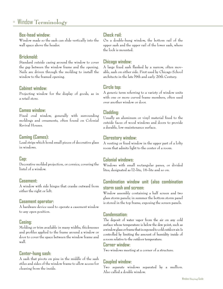#### **Box-head window:**

Window made so the sash can slide vertically into the wall space above the header.

# **Brickmold:**

Standard outside casing around the window to cover the gap between the window frame and the opening. Nails are driven through the molding to install the window to the framed opening.

# **Cabinet window:**

Projecting window for the display of goods, as in a retail store.

#### **Cameo window:**

Fixed oval window, generally with surrounding moldings and ornaments, often found on Colonial Revival Houses.

# **Caming (Cames):**

Lead strips which bond small pieces of decorative glass in windows.

# **Cap:**

Decorative molded projection, or cornice, covering the lintel of a window.

#### **Casement:**

A window with side hinges that cranks outward from either the right or left.

#### **Casement operator:**

A hardware device used to operate a casement window to any open position.

# **Casing:**

Molding or trim available in many widths, thicknesses and profiles applied to the frame around a window or door to cover the space between the window frame and wall.

# **Center-hung sash:**

A sash that pivots on pins in the middle of the sash stiles and sides of the window frame to allow access for cleaning from the inside.

# **Check rail:**

On a double-hung window, the bottom rail of the upper sash and the upper rail of the lower sash, where the lock is mounted.

#### **Chicago window:**

A large fixed sash flanked by a narrow, often movable, sash on either side. First used by Chicago School architects in the late l9th and early 20th Century.

# **Circle top:**

A generic term referring to a variety of window units with one or more curved frame members, often used over another window or door.

# **Cladding:**

Usually an aluminum or vinyl material fixed to the outside faces of wood windows and doors to provide a durable, low-maintenance surface.

# **Clerestory window:**

A venting or fixed window in the upper part of a lofty room that admits light to the center of a room.

# **Colonial windows:**

Windows with small rectangular panes, or divided lites, designated as l2-lite, 16-lite and so on.

# **Combination window unit (also combination storm sash and screen:**

Window assembly containing a half screen and two glass storm panels; in summer the bottom storm panel is stored in the top frame, exposing the screen panels.

# **Condensation:**

The deposit of water vapor from the air on any cold surface whose temperature is below the dew point, such as a window glass or frame that is exposed to cold outdoor air. Is controlled by limiting the amount of humidity inside of a room relative to the outdoor temperature.

#### **Corner window:**

Two windows meeting at a corner of a structure.

# **Coupled window:**

Two separate windows separated by a mullion. Also called a double window.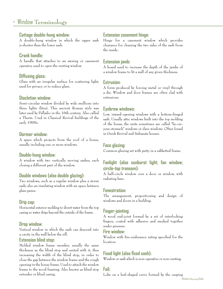#### **Cottage double-hung window:**

A double-hung window in which the upper sash is shorter than the lower sash.

# **Crank handle:**

A handle that attaches to an awning or casement operator, used to open the venting window.

#### **Diffusing glass:**

Glass with an irregular surface for scattering light; used for privacy or to reduce glare.

#### **Diocletian window:**

Semi-circular window divided by wide mullions into three lights (lites). This ancient Roman style was later used by Palladio in the 16th century. Also called a Therm. Used in Classical Revival buildings of the early 1900s.

#### **Dormer window:**

A space which projects from the roof of a house, usually including one or more windows.

#### **Double-hung window:**

A window with two vertically moving sashes, each closing a different part of the window.

#### **Double windows (also double glazing):**

Two windows, such as a regular window plus a storm sash; also an insulating window with air space between glass panes.

#### **Drip cap:**

Horizontal exterior molding to divert water from the top casing so water drips beyond the outside of the frame.

#### **Drop window:**

Vertical window in which the sash can descend into a cavity in the wall below the sill.

#### **Extension blind stop:**

Molded window frame member, usually the same thickness as the blind stop and united with it, thus increasing the width of the blind stop, in order to close the gap between the window frame and the rough opening in the house frame. Used to attach the window frame to the wood framing. Also known as blind stop extender or blind casing.

#### **Extension casement hinge:**

Hinge for a casement window which provides clearance for cleaning the two sides of the sash from the inside.

#### **Extension jamb:**

A board used to increase the depth of the jambs of a window frame to fit a wall of any given thickness.

#### **Extrusion:**

A form produced by forcing metal or vinyl through a die. Window and door frames are often clad with extrusions.

#### **Eyebrow windows:**

Low, inward-opening windows with a bottom-hinged sash. Usually attic windows built into the top molding of the house, the units sometimes are called "lie-onyour-stomach" windows or slave windows. Often found in Greek Revival and Italianate houses.

#### **Face glazing:**

Common glazing set with putty in a rabbetted frame.

# **Fanlight (also sunburst light; fan window; circle-top transom):**

A half-circle window over a door or window, with radiating bars.

# **Fenestration:**

The arrangement, proportioning and design of windows and doors in a building.

# **Finger-jointing:**

A wood end-joint formed by a set of interlocking fingers, coated with adhesive and meshed together under pressure.

#### **Fire window:**

Window with fire-endurance rating specified for the location.

# **Fixed light (also fixed sash):**

Window or sash which is non-operative or non-venting.

# **Foil:**

Lobe on a leaf-shaped curve formed by the cusping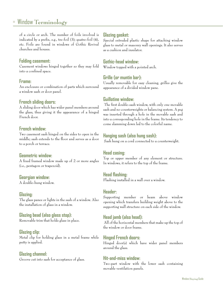of a circle or arch. The number of foils involved is indicated by a prefix, e.g., tre-foil (3); quatre-foil (4), etc. Foils are found in windows of Gothic Revival churches and houses.

#### **Folding casement:**

Casement windows hinged together so they may fold into a confined space.

#### **Frame:**

An enclosure or combination of parts which surround a window sash or door panel.

#### **French sliding doors:**

A sliding door which has wider panel members around the glass, thus giving it the appearance of a hinged French door.

#### **French window:**

Two casement sash hinged on the sides to open in the middle; sash extends to the floor and serves as a door to a porch or terrace.

#### **Geometric window:**

A fixed framed window made up of 2 or more angles (i.e., pentagon or trapezoid).

# **Georgian window:**

A double-hung window.

#### **Glazing:**

The glass panes or lights in the sash of a window. Also the installation of glass in a window.

# **Glazing bead (also glass stop):**

Removable trim that holds glass in place.

#### **Glazing clip:**

Metal clip for holding glass in a metal frame while putty is applied.

# **Glazing channel:**

Groove cut into sash for acceptance of glass.

# **Glazing gasket:**

Special extruded plastic shape for attaching window glass to metal or masonry wall openings. It also serves as a cushion and insulator.

#### **Gothic-head window:**

Window topped with a pointed arch.

# **Grille (or muntin bar):**

Usually removable for easy cleaning, grilles give the appearance of a divided window pane.

#### **Guillotine window:**

 The first double-sash window, with only one movable sash and no counterweights or balancing system. A peg was inserted through a hole in the movable sash and into a corresponding hole in the frame. Its tendency to come slamming down led to the colorful name.

# **Hanging sash (also hung sash):**

Sash hung on a cord connected to a counterweight.

#### **Head casing:**

Top or upper member of any element or structure. In windows, it refers to the top of the frame.

#### **Head flashing:**

Flashing installed in a wall over a window.

#### **Header:**

Supporting member or beam above window opening which transfers building weight above to the supporting wall structure on each side of the window.

#### **Head jamb (also head):**

 All of the horizontal members that make up the top of the window or door frame.

#### **Hinged French doors:**

Hinged door(s) which have wider panel members around the glass.

#### **Hit-and-miss window:**

Two-part window with the lower sash containing movable ventilation panels.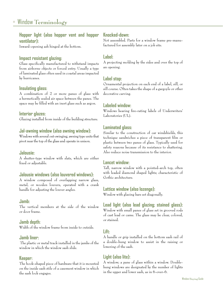# **Hopper light (also hopper vent and hopper ventilator):**

Inward-opening ash hinged at the bottom.

#### **Impact resistant glazing:**

Glass specifically manufactured to withstand impacts from airborne objects or forced entry. Usually a type of laminated glass often used in coastal areas impacted by hurricanes.

# **Insulating glass:**

A combination of 2 or more panes of glass with a hermetically sealed air space between the panes. The space may be filled with an inert glass such as argon.

#### **Interior glazes:**

Glazing installed from inside of the building structure.

#### **Jal-awning window (also awning window):**

Windows with several out-swinging, awning type units that pivot near the top of the glass and operate in unison.

#### **Jalousie:**

A shutter-type window with slats, which are either fixed or adjustable.

#### **Jalousie windows (also louvered windows):**

A window composed of overlapping narrow glass, metal, or wooden louvers, operated with a crank handle for adjusting the louver angles.

#### **Jamb:**

The vertical members at the side of the window or door frame.

#### **Jamb depth:**

Width of the window frame from inside to outside.

#### **Jamb liner:**

 The plastic or metal track installed in the jambs of the window in which the window sash slide.

#### **Keeper:**

The hook-shaped piece of hardware that it is mounted on the inside sash stile of a casement window in which the sash lock engages.

#### **Knocked-down:**

Not assembled. Parts for a window frame pre-manufactured for assembly later on a job site.

# **Label:**

A projecting molding by the sides and over the top of an opening.

# **Label stop:**

Ornamental projection on each end of a label, sill, or sill course. Often takes the shape of a gargoyle or other decorative carving.

# **Labeled window:**

Windows bearing fire-rating labels of Underwriters' Laboratories (UL).

# **Laminated glass:**

Similar to the construction of car windshields, this technique sandwiches a piece of transparent film or plastic between two panes of glass. Typically used for safety reasons because of its resistance to shattering. Also reduce noise transmission to the interior.

#### **Lancet window:**

Tall, narrow window with a pointed-arch top, often with leaded diamond shaped lights; characteristic of Gothic architecture.

#### **Lattice window (also lozenge):**

Window with glazing bars set diagonally.

#### **Lead light (also lead glazing; stained glass):** Window with small panes of glass set in grooved rods of cast lead or came. The glass may be clear, colored, or stained.

# **Lift:**

A handle or grip installed on the bottom sash rail of a double-hung window to assist in the raising or lowering of the sash.

# **Light (also lite):**

A window; a pane of glass within a window. Doublehung windows are designated by the number of lights in the upper and lower sash, as in 6-over-6.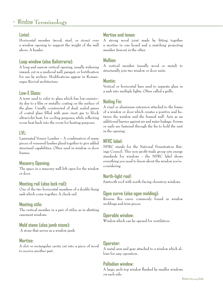#### **Lintel:**

Horizontal member (wood, steel, or stone) over a window opening to support the weight of the wall above. A header.

# **Loop window (also Balistraria):**

A long and narrow vertical opening, usually widening inward, cut in a medieval wall, parapet, or fortification for use by archers. Modifications appear in Romanesque Revival architecture.

# **Low-E Glass:**

A term used to refer to glass which has low-emissivity due to a film or metallic coating on the surface of the glass. Usually constructed of dual, sealed panes of coated glass filled with pure inert gas to block ultraviolet heat, for cooling purposes, while reflecting room heat back into the room for heating purposes.

#### **LVL:**

Laminated Veneer Lumber – A combination of many pieces of veneered lumber glued together to give added structural capabilities. Often used in window or door frames.

# **Masonry Opening:**

The space in a masonry wall left open for the window or door.

# **Meeting rail (also lock rail):**

One of the two horizontal members of a double-hung sash which come together. A check rail.

#### **Meeting stile:**

The vertical member in a pair of stiles, as in abutting casement windows.

# **Mold stone (also jamb stone):**

A stone that serves as a window jamb.

#### **Mortise:**

A slot or rectangular cavity cut into a piece of wood to receive another part.

# **Mortise and tenon:**

A strong wood joint made by fitting together a mortise in one board and a matching projecting member (tenon) in the other.

#### **Mullion:**

A vertical member (usually wood or metal) to structurally join two window or door units.

#### **Muntin:**

Vertical or horizontal bars used to separate glass in a sash into multiple lights. Often called a grille.

# **Nailing Fin:**

A vinyl or aluminum extension attached to the frame of a window or door which creates a positive seal between the window and the framed wall. Acts as an additional barrier against air and water leakage. Screws or nails are fastened through the fin to hold the unit in the opening.

# **NFRC label:**

NFRC stands for the National Fenestration Ratings Council. This non-profit trade group sets energy standards for windows - the NFRC label shows everything you need to know about the window you're considering.

# **North-light roof:**

Sawtooth roof with north-facing clerestory windows.

# **Ogee curve (also ogee molding):**

Reverse flex curve commonly found in window moldings and trim pieces.

#### **Operable window:**

Window which can be opened for ventilation.

#### **Operator:**

A metal arm and gear attached to a window which allows for easy operation.

# **Palladian window:**

A large, arch-top window flanked by smaller windows on each side.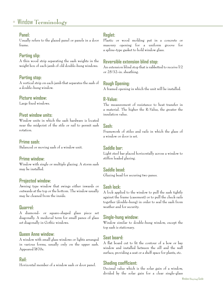#### **Panel:**

Usually refers to the glazed panel or panels in a door frame.

# **Parting slip:**

A thin wood strip separating the sash weights in the weight box of each jamb of old double-hung windows.

# **Parting stop:**

A vertical strip on each jamb that separates the sash of a double-hung window.

# **Picture window:**

Large fixed windows.

# **Pivot window units:**

Window units in which the sash hardware is located near the midpoint of the stile or rail to permit sash rotation.

# **Prime sash:**

Balanced or moving sash of a window unit.

# **Prime window:**

Window with single or multiple glazing. A storm sash may be installed.

# **Projected window:**

Awning type window that swings either inwards or outwards at the top or the bottom. The window usually may be cleaned from the inside.

# **Quarrel:**

A diamond- or square-shaped glass piece set diagonally. A medieval term for small panes of glass set diagonally in Gothic windows.

# **Queen Anne window:**

A window with small glass windows or lights arranged in various forms, usually only on the upper sash. Appeared l870s.

# **Rail:**

Horizontal member of a window sash or door panel.

# **Reglet:**

Plastic or wood molding put in a concrete or masonry opening for a uniform groove for a spline-type gasket to hold window glass.

# **Reversible extension blind stop:**

An extension blind stop that is rabbetted to receive l/2 or 25/32-in. sheathing.

# **Rough Opening:**

A framed opening in which the unit will be installed.

# **R-Value:**

The measurement of resistance to heat transfer in a material. The higher the R-Value, the greater the insulation value.

# **Sash:**

Framework of stiles and rails in which the glass of a window or door is set.

# **Saddle bar:**

Light steel bar placed horizontally across a window to stiffen leaded glazing.

# **Saddle bead:**

Glazing bead for securing two panes.

# **Sash lock:**

A lock applied to the window to pull the sash tightly against the frame (casement) or to pull the check rails together (double-hung) in order to seal the sash from weather and for security.

# **Single-hung window:**

Window similar to double-hung window, except the top sash is stationary.

# **Seat board:**

A flat board cut to fit the contour of a bow or bay window and installed between the sill and the wall surface, providing a seat or a shelf space for plants, etc.

# **Shading coefficient:**

Decimal value which is the solar gain of a window, divided by the solar gain for a clear single-glass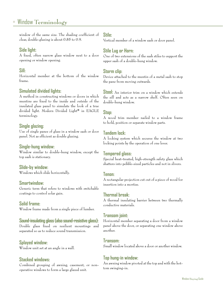window of the same size. The shading coefficient of clear, double-glazing is about 0.85 to 0.9.

# **Side light:**

A fixed, often narrow glass window next to a door opening or window opening.

#### **Sill:**

Horizontal member at the bottom of the window frame.

# **Simulated divided lights:**

A method in constructing windows or doors in which muntins are fixed to the inside and outside of the insulated glass panel to simulate the look of a true divided light. Modern Divided Light® in EAGLE terminology.

#### **Single glazing:**

Use of single panes of glass in a window sash or door panel. Not as efficient as double glazing.

#### **Single-hung window:**

Window similar to double-hung window, except the top sash is stationary.

#### **Slide-by window:**

Windows which slide horizontally.

#### **Smartwindow:**

Generic term that refers to windows with switchable coatings to control solar gain.

#### **Solid frame:**

Window frame made from a single piece of lumber.

#### **Sound-insulating glass (also sound-resistive glass):**

Double glass fixed on resilient mountings and separated so as to reduce sound transmission.

#### **Splayed window:**

Window unit set at an angle in a wall.

#### **Stacked windows:**

Combined grouping of awning, casement, or nonoperative windows to form a large glazed unit.

#### **Stile:**

Vertical member of a window sash or door panel.

#### **Stile Lug or Horn:**

One of two extensions of the sash stiles to support the upper sash of a double-hung window.

#### **Storm clip:**

Device attached to the muntin of a metal sash to stop the pane from moving outwards.

**Stool:** An interior trim on a window which extends the sill and acts as a narrow shelf. Often seen on double-hung window.

#### **Stop:**

A wood trim member nailed to a window frame to hold, position or separate window parts.

#### **Tandem lock:**

A locking system which secures the window at two locking points by the operation of one lever.

#### **Tempered glass:**

Special heat-treated, high-strength safety glass which shatters into pebble-sized particles and not in slivers.

#### **Tenon:**

A rectangular projection cut out of a piece of wood for insertion into a mortise.

#### **Thermal break:**

A thermal insulating barrier between two thermally conductive materials.

#### **Transom joint:**

Horizontal member separating a door from a window panel above the door, or separating one window above another.

#### **Transom:**

Small window located above a door or another window.

#### **Top hung-in window:**

An awning window pivoted at the top and with the bottom swinging-in.